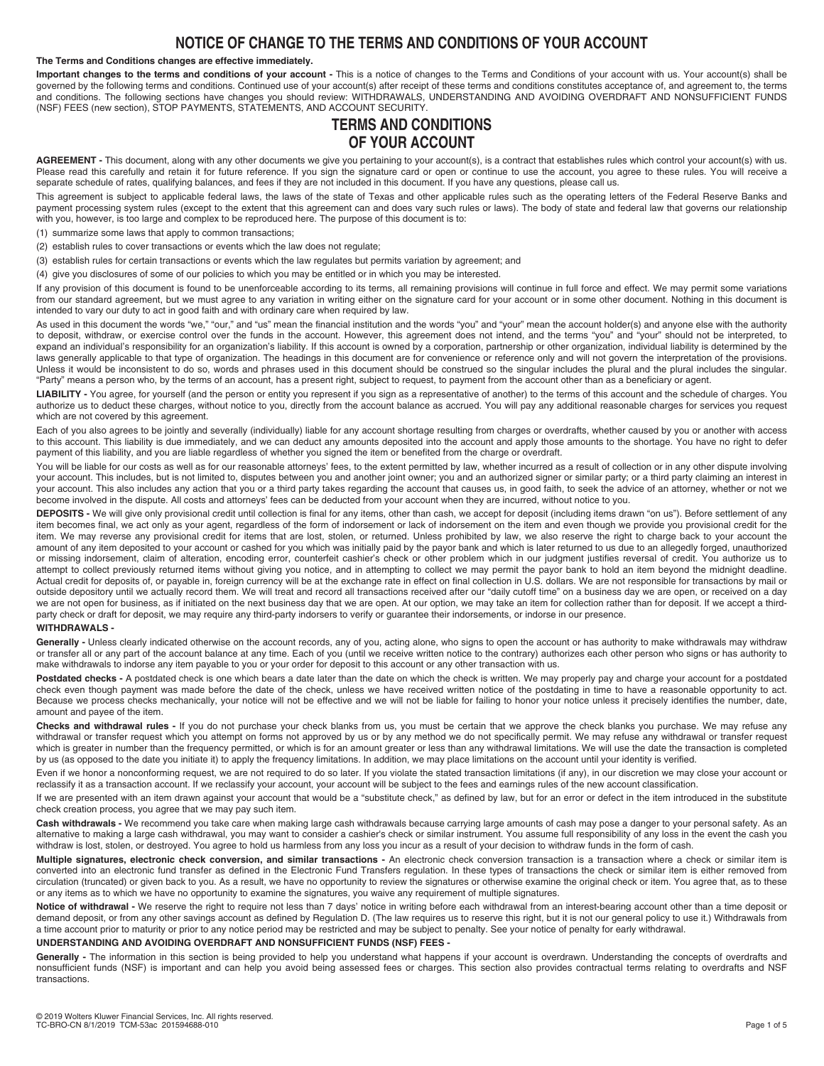# **NOTICE OF CHANGE TO THE TERMS AND CONDITIONS OF YOUR ACCOUNT**

#### **The Terms and Conditions changes are effective immediately.**

**Important changes to the terms and conditions of your account -** This is a notice of changes to the Terms and Conditions of your account with us. Your account(s) shall be governed by the following terms and conditions. Continued use of your account(s) after receipt of these terms and conditions constitutes acceptance of, and agreement to, the terms and conditions. The following sections have changes you should review: WITHDRAWALS, UNDERSTANDING AND AVOIDING OVERDRAFT AND NONSUFFICIENT FUNDS (NSF) FEES (new section), STOP PAYMENTS, STATEMENTS, AND ACCOUNT SECURITY.

# **TERMS AND CONDITIONS OF YOUR ACCOUNT**

**AGREEMENT -** This document, along with any other documents we give you pertaining to your account(s), is a contract that establishes rules which control your account(s) with us. Please read this carefully and retain it for future reference. If you sign the signature card or open or continue to use the account, you agree to these rules. You will receive a separate schedule of rates, qualifying balances, and fees if they are not included in this document. If you have any questions, please call us.

This agreement is subject to applicable federal laws, the laws of the state of Texas and other applicable rules such as the operating letters of the Federal Reserve Banks and payment processing system rules (except to the extent that this agreement can and does vary such rules or laws). The body of state and federal law that governs our relationship with you, however, is too large and complex to be reproduced here. The purpose of this document is to:

(1) summarize some laws that apply to common transactions;

(2) establish rules to cover transactions or events which the law does not regulate;

(3) establish rules for certain transactions or events which the law regulates but permits variation by agreement; and

(4) give you disclosures of some of our policies to which you may be entitled or in which you may be interested.

If any provision of this document is found to be unenforceable according to its terms, all remaining provisions will continue in full force and effect. We may permit some variations from our standard agreement, but we must agree to any variation in writing either on the signature card for your account or in some other document. Nothing in this document is intended to vary our duty to act in good faith and with ordinary care when required by law.

As used in this document the words "we," "our," and "us" mean the financial institution and the words "you" and "your" mean the account holder(s) and anyone else with the authority to deposit, withdraw, or exercise control over the funds in the account. However, this agreement does not intend, and the terms "you" and "your" should not be interpreted, to expand an individual's responsibility for an organization's liability. If this account is owned by a corporation, partnership or other organization, individual liability is determined by the laws generally applicable to that type of organization. The headings in this document are for convenience or reference only and will not govern the interpretation of the provisions. Unless it would be inconsistent to do so, words and phrases used in this document should be construed so the singular includes the plural and the plural includes the singular. "Party" means a person who, by the terms of an account, has a present right, subject to request, to payment from the account other than as a beneficiary or agent.

**LIABILITY -** You agree, for yourself (and the person or entity you represent if you sign as a representative of another) to the terms of this account and the schedule of charges. You authorize us to deduct these charges, without notice to you, directly from the account balance as accrued. You will pay any additional reasonable charges for services you request which are not covered by this agreement.

Each of you also agrees to be jointly and severally (individually) liable for any account shortage resulting from charges or overdrafts, whether caused by you or another with access to this account. This liability is due immediately, and we can deduct any amounts deposited into the account and apply those amounts to the shortage. You have no right to defer payment of this liability, and you are liable regardless of whether you signed the item or benefited from the charge or overdraft.

You will be liable for our costs as well as for our reasonable attorneys' fees, to the extent permitted by law, whether incurred as a result of collection or in any other dispute involving your account. This includes, but is not limited to, disputes between you and another joint owner; you and an authorized signer or similar party; or a third party claiming an interest in your account. This also includes any action that you or a third party takes regarding the account that causes us, in good faith, to seek the advice of an attorney, whether or not we become involved in the dispute. All costs and attorneys' fees can be deducted from your account when they are incurred, without notice to you.

**DEPOSITS -** We will give only provisional credit until collection is final for any items, other than cash, we accept for deposit (including items drawn "on us"). Before settlement of any item becomes final, we act only as your agent, regardless of the form of indorsement or lack of indorsement on the item and even though we provide you provisional credit for the item. We may reverse any provisional credit for items that are lost, stolen, or returned. Unless prohibited by law, we also reserve the right to charge back to your account the amount of any item deposited to your account or cashed for you which was initially paid by the payor bank and which is later returned to us due to an allegedly forged, unauthorized or missing indorsement, claim of alteration, encoding error, counterfeit cashier's check or other problem which in our judgment justifies reversal of credit. You authorize us to attempt to collect previously returned items without giving you notice, and in attempting to collect we may permit the payor bank to hold an item beyond the midnight deadline. Actual credit for deposits of, or payable in, foreign currency will be at the exchange rate in effect on final collection in U.S. dollars. We are not responsible for transactions by mail or outside depository until we actually record them. We will treat and record all transactions received after our "daily cutoff time" on a business day we are open, or received on a day we are not open for business, as if initiated on the next business day that we are open. At our option, we may take an item for collection rather than for deposit. If we accept a thirdparty check or draft for deposit, we may require any third-party indorsers to verify or guarantee their indorsements, or indorse in our presence.

## **WITHDRAWALS -**

Generally - Unless clearly indicated otherwise on the account records, any of you, acting alone, who signs to open the account or has authority to make withdrawals may withdraw or transfer all or any part of the account balance at any time. Each of you (until we receive written notice to the contrary) authorizes each other person who signs or has authority to make withdrawals to indorse any item payable to you or your order for deposit to this account or any other transaction with us.

Postdated checks - A postdated check is one which bears a date later than the date on which the check is written. We may properly pay and charge your account for a postdated check even though payment was made before the date of the check, unless we have received written notice of the postdating in time to have a reasonable opportunity to act. Because we process checks mechanically, your notice will not be effective and we will not be liable for failing to honor your notice unless it precisely identifies the number, date, amount and payee of the item.

**Checks and withdrawal rules -** If you do not purchase your check blanks from us, you must be certain that we approve the check blanks you purchase. We may refuse any withdrawal or transfer request which you attempt on forms not approved by us or by any method we do not specifically permit. We may refuse any withdrawal or transfer request which is greater in number than the frequency permitted, or which is for an amount greater or less than any withdrawal limitations. We will use the date the transaction is completed by us (as opposed to the date you initiate it) to apply the frequency limitations. In addition, we may place limitations on the account until your identity is verified.

Even if we honor a nonconforming request, we are not required to do so later. If you violate the stated transaction limitations (if any), in our discretion we may close your account or reclassify it as a transaction account. If we reclassify your account, your account will be subject to the fees and earnings rules of the new account classification.

If we are presented with an item drawn against your account that would be a "substitute check," as defined by law, but for an error or defect in the item introduced in the substitute check creation process, you agree that we may pay such item.

**Cash withdrawals -** We recommend you take care when making large cash withdrawals because carrying large amounts of cash may pose a danger to your personal safety. As an alternative to making a large cash withdrawal, you may want to consider a cashier's check or similar instrument. You assume full responsibility of any loss in the event the cash you withdraw is lost, stolen, or destroyed. You agree to hold us harmless from any loss you incur as a result of your decision to withdraw funds in the form of cash.

**Multiple signatures, electronic check conversion, and similar transactions -** An electronic check conversion transaction is a transaction where a check or similar item is converted into an electronic fund transfer as defined in the Electronic Fund Transfers regulation. In these types of transactions the check or similar item is either removed from circulation (truncated) or given back to you. As a result, we have no opportunity to review the signatures or otherwise examine the original check or item. You agree that, as to these or any items as to which we have no opportunity to examine the signatures, you waive any requirement of multiple signatures.

Notice of withdrawal - We reserve the right to require not less than 7 days' notice in writing before each withdrawal from an interest-bearing account other than a time deposit or demand deposit, or from any other savings account as defined by Regulation D. (The law requires us to reserve this right, but it is not our general policy to use it.) Withdrawals from a time account prior to maturity or prior to any notice period may be restricted and may be subject to penalty. See your notice of penalty for early withdrawal.

## **UNDERSTANDING AND AVOIDING OVERDRAFT AND NONSUFFICIENT FUNDS (NSF) FEES -**

Generally - The information in this section is being provided to help you understand what happens if your account is overdrawn. Understanding the concepts of overdrafts and nonsufficient funds (NSF) is important and can help you avoid being assessed fees or charges. This section also provides contractual terms relating to overdrafts and NSF transactions.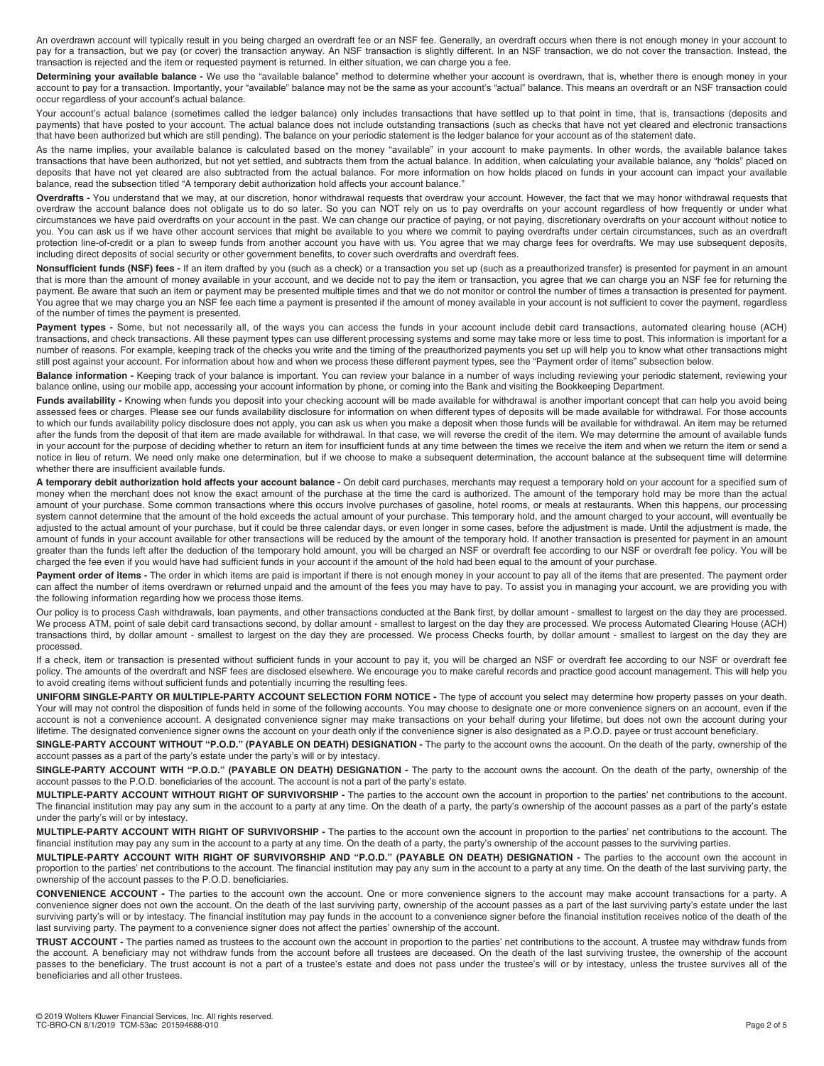An overdrawn account will typically result in you being charged an overdraft fee or an NSF fee. Generally, an overdraft occurs when there is not enough money in your account to pay for a transaction, but we pay (or cover) the transaction anyway. An NSF transaction is slightly different. In an NSF transaction, we do not cover the transaction. Instead, the transaction is rejected and the item or requested payment is returned. In either situation, we can charge you a fee.

**Determining your available balance -** We use the "available balance" method to determine whether your account is overdrawn, that is, whether there is enough money in your account to pay for a transaction. Importantly, your "available" balance may not be the same as your account's "actual" balance. This means an overdraft or an NSF transaction could occur regardless of your account's actual balance.

Your account's actual balance (sometimes called the ledger balance) only includes transactions that have settled up to that point in time, that is, transactions (deposits and payments) that have posted to your account. The actual balance does not include outstanding transactions (such as checks that have not yet cleared and electronic transactions that have been authorized but which are still pending). The balance on your periodic statement is the ledger balance for your account as of the statement date.

As the name implies, your available balance is calculated based on the money "available" in your account to make payments. In other words, the available balance takes transactions that have been authorized, but not yet settled, and subtracts them from the actual balance. In addition, when calculating your available balance, any "holds" placed on deposits that have not yet cleared are also subtracted from the actual balance. For more information on how holds placed on funds in your account can impact your available balance, read the subsection titled "A temporary debit authorization hold affects your account balance."

**Overdrafts -** You understand that we may, at our discretion, honor withdrawal requests that overdraw your account. However, the fact that we may honor withdrawal requests that overdraw the account balance does not obligate us to do so later. So you can NOT rely on us to pay overdrafts on your account regardless of how frequently or under what circumstances we have paid overdrafts on your account in the past. We can change our practice of paying, or not paying, discretionary overdrafts on your account without notice to you. You can ask us if we have other account services that might be available to you where we commit to paying overdrafts under certain circumstances, such as an overdraft protection line-of-credit or a plan to sweep funds from another account you have with us. You agree that we may charge fees for overdrafts. We may use subsequent deposits, including direct deposits of social security or other government benefits, to cover such overdrafts and overdraft fees.

Nonsufficient funds (NSF) fees - If an item drafted by you (such as a check) or a transaction you set up (such as a preauthorized transfer) is presented for payment in an amount that is more than the amount of money available in your account, and we decide not to pay the item or transaction, you agree that we can charge you an NSF fee for returning the payment. Be aware that such an item or payment may be presented multiple times and that we do not monitor or control the number of times a transaction is presented for payment. You agree that we may charge you an NSF fee each time a payment is presented if the amount of money available in your account is not sufficient to cover the payment, regardless of the number of times the payment is presented.

Payment types - Some, but not necessarily all, of the ways you can access the funds in your account include debit card transactions, automated clearing house (ACH) transactions, and check transactions. All these payment types can use different processing systems and some may take more or less time to post. This information is important for a number of reasons. For example, keeping track of the checks you write and the timing of the preauthorized payments you set up will help you to know what other transactions might still post against your account. For information about how and when we process these different payment types, see the "Payment order of items" subsection below.

Balance information - Keeping track of your balance is important. You can review your balance in a number of ways including reviewing your periodic statement, reviewing your balance online, using our mobile app, accessing your account information by phone, or coming into the Bank and visiting the Bookkeeping Department.

Funds availability - Knowing when funds you deposit into your checking account will be made available for withdrawal is another important concept that can help you avoid being assessed fees or charges. Please see our funds availability disclosure for information on when different types of deposits will be made available for withdrawal. For those accounts to which our funds availability policy disclosure does not apply, you can ask us when you make a deposit when those funds will be available for withdrawal. An item may be returned after the funds from the deposit of that item are made available for withdrawal. In that case, we will reverse the credit of the item. We may determine the amount of available funds in your account for the purpose of deciding whether to return an item for insufficient funds at any time between the times we receive the item and when we return the item or send a notice in lieu of return. We need only make one determination, but if we choose to make a subsequent determination, the account balance at the subsequent time will determine whether there are insufficient available funds.

**A temporary debit authorization hold affects your account balance -** On debit card purchases, merchants may request a temporary hold on your account for a specified sum of money when the merchant does not know the exact amount of the purchase at the time the card is authorized. The amount of the temporary hold may be more than the actual amount of your purchase. Some common transactions where this occurs involve purchases of gasoline, hotel rooms, or meals at restaurants. When this happens, our processing system cannot determine that the amount of the hold exceeds the actual amount of your purchase. This temporary hold, and the amount charged to your account, will eventually be adjusted to the actual amount of your purchase, but it could be three calendar days, or even longer in some cases, before the adjustment is made. Until the adjustment is made, the amount of funds in your account available for other transactions will be reduced by the amount of the temporary hold. If another transaction is presented for payment in an amount greater than the funds left after the deduction of the temporary hold amount, you will be charged an NSF or overdraft fee according to our NSF or overdraft fee policy. You will be charged the fee even if you would have had sufficient funds in your account if the amount of the hold had been equal to the amount of your purchase.

Payment order of items - The order in which items are paid is important if there is not enough money in your account to pay all of the items that are presented. The payment order can affect the number of items overdrawn or returned unpaid and the amount of the fees you may have to pay. To assist you in managing your account, we are providing you with the following information regarding how we process those items.

Our policy is to process Cash withdrawals, loan payments, and other transactions conducted at the Bank first, by dollar amount - smallest to largest on the day they are processed. We process ATM, point of sale debit card transactions second, by dollar amount - smallest to largest on the day they are processed. We process Automated Clearing House (ACH) transactions third, by dollar amount - smallest to largest on the day they are processed. We process Checks fourth, by dollar amount - smallest to largest on the day they are processed.

If a check, item or transaction is presented without sufficient funds in your account to pay it, you will be charged an NSF or overdraft fee according to our NSF or overdraft fee policy. The amounts of the overdraft and NSF fees are disclosed elsewhere. We encourage you to make careful records and practice good account management. This will help you to avoid creating items without sufficient funds and potentially incurring the resulting fees.

**UNIFORM SINGLE-PARTY OR MULTIPLE-PARTY ACCOUNT SELECTION FORM NOTICE -** The type of account you select may determine how property passes on your death. Your will may not control the disposition of funds held in some of the following accounts. You may choose to designate one or more convenience signers on an account, even if the account is not a convenience account. A designated convenience signer may make transactions on your behalf during your lifetime, but does not own the account during your lifetime. The designated convenience signer owns the account on your death only if the convenience signer is also designated as a P.O.D. payee or trust account beneficiary.

**SINGLE-PARTY ACCOUNT WITHOUT "P.O.D." (PAYABLE ON DEATH) DESIGNATION -** The party to the account owns the account. On the death of the party, ownership of the account passes as a part of the party's estate under the party's will or by intestacy.

**SINGLE-PARTY ACCOUNT WITH "P.O.D." (PAYABLE ON DEATH) DESIGNATION -** The party to the account owns the account. On the death of the party, ownership of the account passes to the P.O.D. beneficiaries of the account. The account is not a part of the party's estate.

**MULTIPLE-PARTY ACCOUNT WITHOUT RIGHT OF SURVIVORSHIP -** The parties to the account own the account in proportion to the parties' net contributions to the account. The financial institution may pay any sum in the account to a party at any time. On the death of a party, the party's ownership of the account passes as a part of the party's estate under the party's will or by intestacy.

**MULTIPLE-PARTY ACCOUNT WITH RIGHT OF SURVIVORSHIP -** The parties to the account own the account in proportion to the parties' net contributions to the account. The financial institution may pay any sum in the account to a party at any time. On the death of a party, the party's ownership of the account passes to the surviving parties.

**MULTIPLE-PARTY ACCOUNT WITH RIGHT OF SURVIVORSHIP AND "P.O.D." (PAYABLE ON DEATH) DESIGNATION -** The parties to the account own the account in proportion to the parties' net contributions to the account. The financial institution may pay any sum in the account to a party at any time. On the death of the last surviving party, the ownership of the account passes to the P.O.D. beneficiaries.

**CONVENIENCE ACCOUNT -** The parties to the account own the account. One or more convenience signers to the account may make account transactions for a party. A convenience signer does not own the account. On the death of the last surviving party, ownership of the account passes as a part of the last surviving party's estate under the last surviving party's will or by intestacy. The financial institution may pay funds in the account to a convenience signer before the financial institution receives notice of the death of the last surviving party. The payment to a convenience signer does not affect the parties' ownership of the account.

**TRUST ACCOUNT -** The parties named as trustees to the account own the account in proportion to the parties' net contributions to the account. A trustee may withdraw funds from the account. A beneficiary may not withdraw funds from the account before all trustees are deceased. On the death of the last surviving trustee, the ownership of the account passes to the beneficiary. The trust account is not a part of a trustee's estate and does not pass under the trustee's will or by intestacy, unless the trustee survives all of the beneficiaries and all other trustees.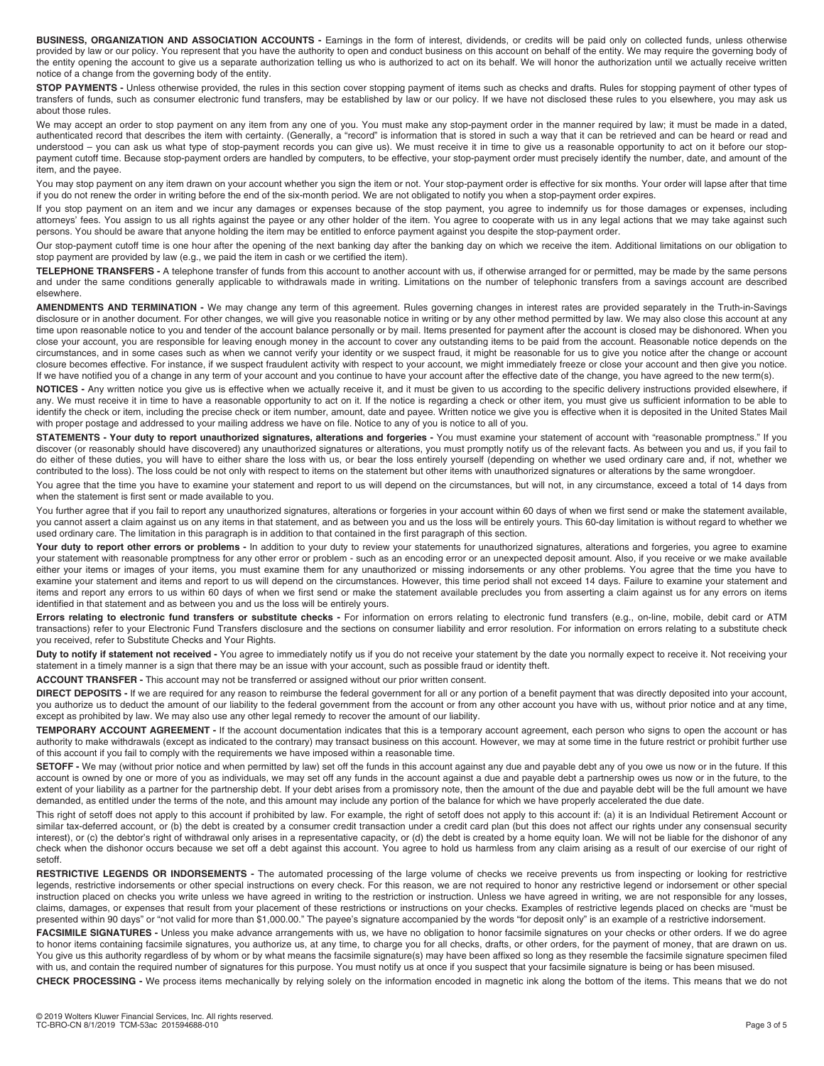**BUSINESS, ORGANIZATION AND ASSOCIATION ACCOUNTS -** Earnings in the form of interest, dividends, or credits will be paid only on collected funds, unless otherwise provided by law or our policy. You represent that you have the authority to open and conduct business on this account on behalf of the entity. We may require the governing body of the entity opening the account to give us a separate authorization telling us who is authorized to act on its behalf. We will honor the authorization until we actually receive written notice of a change from the governing body of the entity.

**STOP PAYMENTS** - Unless otherwise provided, the rules in this section cover stopping payment of items such as checks and drafts. Rules for stopping payment of other types of transfers of funds, such as consumer electronic fund transfers, may be established by law or our policy. If we have not disclosed these rules to you elsewhere, you may ask us about those rules.

We may accept an order to stop payment on any item from any one of you. You must make any stop-payment order in the manner required by law; it must be made in a dated, authenticated record that describes the item with certainty. (Generally, a "record" is information that is stored in such a way that it can be retrieved and can be heard or read and understood – you can ask us what type of stop-payment records you can give us). We must receive it in time to give us a reasonable opportunity to act on it before our stoppayment cutoff time. Because stop-payment orders are handled by computers, to be effective, your stop-payment order must precisely identify the number, date, and amount of the item, and the payee.

You may stop payment on any item drawn on your account whether you sign the item or not. Your stop-payment order is effective for six months. Your order will lapse after that time if you do not renew the order in writing before the end of the six-month period. We are not obligated to notify you when a stop-payment order expires.

If you stop payment on an item and we incur any damages or expenses because of the stop payment, you agree to indemnify us for those damages or expenses, including attorneys' fees. You assign to us all rights against the payee or any other holder of the item. You agree to cooperate with us in any legal actions that we may take against such persons. You should be aware that anyone holding the item may be entitled to enforce payment against you despite the stop-payment order.

Our stop-payment cutoff time is one hour after the opening of the next banking day after the banking day on which we receive the item. Additional limitations on our obligation to stop payment are provided by law (e.g., we paid the item in cash or we certified the item).

**TELEPHONE TRANSFERS -** A telephone transfer of funds from this account to another account with us, if otherwise arranged for or permitted, may be made by the same persons and under the same conditions generally applicable to withdrawals made in writing. Limitations on the number of telephonic transfers from a savings account are described elsewhere.

**AMENDMENTS AND TERMINATION -** We may change any term of this agreement. Rules governing changes in interest rates are provided separately in the Truth-in-Savings disclosure or in another document. For other changes, we will give you reasonable notice in writing or by any other method permitted by law. We may also close this account at any time upon reasonable notice to you and tender of the account balance personally or by mail. Items presented for payment after the account is closed may be dishonored. When you close your account, you are responsible for leaving enough money in the account to cover any outstanding items to be paid from the account. Reasonable notice depends on the circumstances, and in some cases such as when we cannot verify your identity or we suspect fraud, it might be reasonable for us to give you notice after the change or account closure becomes effective. For instance, if we suspect fraudulent activity with respect to your account, we might immediately freeze or close your account and then give you notice. If we have notified you of a change in any term of your account and you continue to have your account after the effective date of the change, you have agreed to the new term(s).

**NOTICES -** Any written notice you give us is effective when we actually receive it, and it must be given to us according to the specific delivery instructions provided elsewhere, if any. We must receive it in time to have a reasonable opportunity to act on it. If the notice is regarding a check or other item, you must give us sufficient information to be able to identify the check or item, including the precise check or item number, amount, date and payee. Written notice we give you is effective when it is deposited in the United States Mail with proper postage and addressed to your mailing address we have on file. Notice to any of you is notice to all of you.

**STATEMENTS - Your duty to report unauthorized signatures, alterations and forgeries -** You must examine your statement of account with "reasonable promptness." If you discover (or reasonably should have discovered) any unauthorized signatures or alterations, you must promptly notify us of the relevant facts. As between you and us, if you fail to do either of these duties, you will have to either share the loss with us, or bear the loss entirely yourself (depending on whether we used ordinary care and, if not, whether we contributed to the loss). The loss could be not only with respect to items on the statement but other items with unauthorized signatures or alterations by the same wrongdoer.

You agree that the time you have to examine your statement and report to us will depend on the circumstances, but will not, in any circumstance, exceed a total of 14 days from when the statement is first sent or made available to you.

You further agree that if you fail to report any unauthorized signatures, alterations or forgeries in your account within 60 days of when we first send or make the statement available, you cannot assert a claim against us on any items in that statement, and as between you and us the loss will be entirely yours. This 60-day limitation is without regard to whether we used ordinary care. The limitation in this paragraph is in addition to that contained in the first paragraph of this section.

Your duty to report other errors or problems - In addition to your duty to review your statements for unauthorized signatures, alterations and forgeries, you agree to examine your statement with reasonable promptness for any other error or problem - such as an encoding error or an unexpected deposit amount. Also, if you receive or we make available either your items or images of your items, you must examine them for any unauthorized or missing indorsements or any other problems. You agree that the time you have to examine your statement and items and report to us will depend on the circumstances. However, this time period shall not exceed 14 days. Failure to examine your statement and items and report any errors to us within 60 days of when we first send or make the statement available precludes you from asserting a claim against us for any errors on items identified in that statement and as between you and us the loss will be entirely yours.

Errors relating to electronic fund transfers or substitute checks - For information on errors relating to electronic fund transfers (e.g., on-line, mobile, debit card or ATM transactions) refer to your Electronic Fund Transfers disclosure and the sections on consumer liability and error resolution. For information on errors relating to a substitute check you received, refer to Substitute Checks and Your Rights.

Duty to notify if statement not received - You agree to immediately notify us if you do not receive your statement by the date you normally expect to receive it. Not receiving your statement in a timely manner is a sign that there may be an issue with your account, such as possible fraud or identity theft.

**ACCOUNT TRANSFER -** This account may not be transferred or assigned without our prior written consent.

**DIRECT DEPOSITS -** If we are required for any reason to reimburse the federal government for all or any portion of a benefit payment that was directly deposited into your account, you authorize us to deduct the amount of our liability to the federal government from the account or from any other account you have with us, without prior notice and at any time, except as prohibited by law. We may also use any other legal remedy to recover the amount of our liability.

**TEMPORARY ACCOUNT AGREEMENT -** If the account documentation indicates that this is a temporary account agreement, each person who signs to open the account or has authority to make withdrawals (except as indicated to the contrary) may transact business on this account. However, we may at some time in the future restrict or prohibit further use of this account if you fail to comply with the requirements we have imposed within a reasonable time.

SETOFF - We may (without prior notice and when permitted by law) set off the funds in this account against any due and payable debt any of you owe us now or in the future. If this account is owned by one or more of you as individuals, we may set off any funds in the account against a due and payable debt a partnership owes us now or in the future, to the extent of your liability as a partner for the partnership debt. If your debt arises from a promissory note, then the amount of the due and payable debt will be the full amount we have demanded, as entitled under the terms of the note, and this amount may include any portion of the balance for which we have properly accelerated the due date.

This right of setoff does not apply to this account if prohibited by law. For example, the right of setoff does not apply to this account if: (a) it is an Individual Retirement Account or similar tax-deferred account, or (b) the debt is created by a consumer credit transaction under a credit card plan (but this does not affect our rights under any consensual security interest), or (c) the debtor's right of withdrawal only arises in a representative capacity, or (d) the debt is created by a home equity loan. We will not be liable for the dishonor of any check when the dishonor occurs because we set off a debt against this account. You agree to hold us harmless from any claim arising as a result of our exercise of our right of setoff.

RESTRICTIVE LEGENDS OR INDORSEMENTS - The automated processing of the large volume of checks we receive prevents us from inspecting or looking for restrictive legends, restrictive indorsements or other special instructions on every check. For this reason, we are not required to honor any restrictive legend or indorsement or other special instruction placed on checks you write unless we have agreed in writing to the restriction or instruction. Unless we have agreed in writing, we are not responsible for any losses, claims, damages, or expenses that result from your placement of these restrictions or instructions on your checks. Examples of restrictive legends placed on checks are "must be presented within 90 days" or "not valid for more than \$1,000.00." The payee's signature accompanied by the words "for deposit only" is an example of a restrictive indorsement.

FACSIMILE SIGNATURES - Unless you make advance arrangements with us, we have no obligation to honor facsimile signatures on your checks or other orders. If we do agree to honor items containing facsimile signatures, you authorize us, at any time, to charge you for all checks, drafts, or other orders, for the payment of money, that are drawn on us. You give us this authority regardless of by whom or by what means the facsimile signature(s) may have been affixed so long as they resemble the facsimile signature specimen filed with us, and contain the required number of signatures for this purpose. You must notify us at once if you suspect that your facsimile signature is being or has been misused.

**CHECK PROCESSING -** We process items mechanically by relying solely on the information encoded in magnetic ink along the bottom of the items. This means that we do not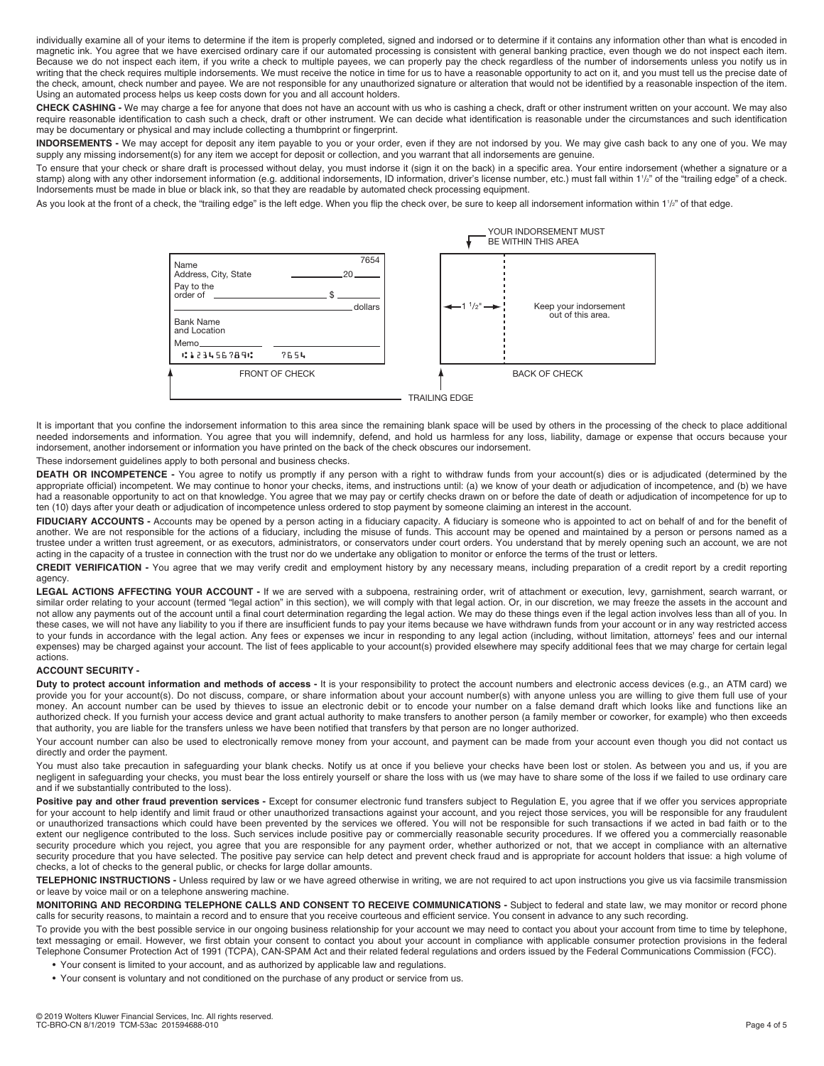individually examine all of your items to determine if the item is properly completed, signed and indorsed or to determine if it contains any information other than what is encoded in magnetic ink. You agree that we have exercised ordinary care if our automated processing is consistent with general banking practice, even though we do not inspect each item. Because we do not inspect each item, if you write a check to multiple payees, we can properly pay the check regardless of the number of indorsements unless you notify us in writing that the check requires multiple indorsements. We must receive the notice in time for us to have a reasonable opportunity to act on it, and you must tell us the precise date of the check, amount, check number and payee. We are not responsible for any unauthorized signature or alteration that would not be identified by a reasonable inspection of the item. Using an automated process helps us keep costs down for you and all account holders.

**CHECK CASHING -** We may charge a fee for anyone that does not have an account with us who is cashing a check, draft or other instrument written on your account. We may also require reasonable identification to cash such a check, draft or other instrument. We can decide what identification is reasonable under the circumstances and such identification may be documentary or physical and may include collecting a thumbprint or fingerprint.

**INDORSEMENTS -** We may accept for deposit any item payable to you or your order, even if they are not indorsed by you. We may give cash back to any one of you. We may supply any missing indorsement(s) for any item we accept for deposit or collection, and you warrant that all indorsements are genuine.

To ensure that your check or share draft is processed without delay, you must indorse it (sign it on the back) in a specific area. Your entire indorsement (whether a signature or a stamp) along with any other indorsement information (e.g. additional indorsements, ID information, driver's license number, etc.) must fall within 11 /2" of the "trailing edge" of a check. Indorsements must be made in blue or black ink, so that they are readable by automated check processing equipment.

As you look at the front of a check, the "trailing edge" is the left edge. When you flip the check over, be sure to keep all indorsement information within 11/2" of that edge.



It is important that you confine the indorsement information to this area since the remaining blank space will be used by others in the processing of the check to place additional needed indorsements and information. You agree that you will indemnify, defend, and hold us harmless for any loss, liability, damage or expense that occurs because your indorsement, another indorsement or information you have printed on the back of the check obscures our indorsement.

## These indorsement guidelines apply to both personal and business checks.

DEATH OR INCOMPETENCE - You agree to notify us promptly if any person with a right to withdraw funds from your account(s) dies or is adjudicated (determined by the appropriate official) incompetent. We may continue to honor your checks, items, and instructions until: (a) we know of your death or adjudication of incompetence, and (b) we have had a reasonable opportunity to act on that knowledge. You agree that we may pay or certify checks drawn on or before the date of death or adjudication of incompetence for up to ten (10) days after your death or adjudication of incompetence unless ordered to stop payment by someone claiming an interest in the account.

**FIDUCIARY ACCOUNTS -** Accounts may be opened by a person acting in a fiduciary capacity. A fiduciary is someone who is appointed to act on behalf of and for the benefit of another. We are not responsible for the actions of a fiduciary, including the misuse of funds. This account may be opened and maintained by a person or persons named as a trustee under a written trust agreement, or as executors, administrators, or conservators under court orders. You understand that by merely opening such an account, we are not acting in the capacity of a trustee in connection with the trust nor do we undertake any obligation to monitor or enforce the terms of the trust or letters.

**CREDIT VERIFICATION -** You agree that we may verify credit and employment history by any necessary means, including preparation of a credit report by a credit reporting agency.

LEGAL ACTIONS AFFECTING YOUR ACCOUNT - If we are served with a subpoena, restraining order, writ of attachment or execution, levy, garnishment, search warrant, or similar order relating to your account (termed "legal action" in this section), we will comply with that legal action. Or, in our discretion, we may freeze the assets in the account and not allow any payments out of the account until a final court determination regarding the legal action. We may do these things even if the legal action involves less than all of you. In these cases, we will not have any liability to you if there are insufficient funds to pay your items because we have withdrawn funds from your account or in any way restricted access to your funds in accordance with the legal action. Any fees or expenses we incur in responding to any legal action (including, without limitation, attorneys' fees and our internal expenses) may be charged against your account. The list of fees applicable to your account(s) provided elsewhere may specify additional fees that we may charge for certain legal actions.

#### **ACCOUNT SECURITY -**

**Duty to protect account information and methods of access -** It is your responsibility to protect the account numbers and electronic access devices (e.g., an ATM card) we provide you for your account(s). Do not discuss, compare, or share information about your account number(s) with anyone unless you are willing to give them full use of your money. An account number can be used by thieves to issue an electronic debit or to encode your number on a false demand draft which looks like and functions like an authorized check. If you furnish your access device and grant actual authority to make transfers to another person (a family member or coworker, for example) who then exceeds that authority, you are liable for the transfers unless we have been notified that transfers by that person are no longer authorized.

Your account number can also be used to electronically remove money from your account, and payment can be made from your account even though you did not contact us directly and order the payment.

You must also take precaution in safeguarding your blank checks. Notify us at once if you believe your checks have been lost or stolen. As between you and us, if you are negligent in safeguarding your checks, you must bear the loss entirely yourself or share the loss with us (we may have to share some of the loss if we failed to use ordinary care and if we substantially contributed to the loss).

Positive pay and other fraud prevention services - Except for consumer electronic fund transfers subject to Regulation E, you agree that if we offer you services appropriate for your account to help identify and limit fraud or other unauthorized transactions against your account, and you reject those services, you will be responsible for any fraudulent or unauthorized transactions which could have been prevented by the services we offered. You will not be responsible for such transactions if we acted in bad faith or to the extent our negligence contributed to the loss. Such services include positive pay or commercially reasonable security procedures. If we offered you a commercially reasonable security procedure which you reject, you agree that you are responsible for any payment order, whether authorized or not, that we accept in compliance with an alternative security procedure that you have selected. The positive pay service can help detect and prevent check fraud and is appropriate for account holders that issue: a high volume of checks, a lot of checks to the general public, or checks for large dollar amounts.

**TELEPHONIC INSTRUCTIONS -** Unless required by law or we have agreed otherwise in writing, we are not required to act upon instructions you give us via facsimile transmission or leave by voice mail or on a telephone answering machine.

MONITORING AND RECORDING TELEPHONE CALLS AND CONSENT TO RECEIVE COMMUNICATIONS - Subject to federal and state law, we may monitor or record phone calls for security reasons, to maintain a record and to ensure that you receive courteous and efficient service. You consent in advance to any such recording.

To provide you with the best possible service in our ongoing business relationship for your account we may need to contact you about your account from time to time by telephone, text messaging or email. However, we first obtain your consent to contact you about your account in compliance with applicable consumer protection provisions in the federal Telephone Consumer Protection Act of 1991 (TCPA), CAN-SPAM Act and their related federal regulations and orders issued by the Federal Communications Commission (FCC).

- Your consent is limited to your account, and as authorized by applicable law and regulations.
- Your consent is voluntary and not conditioned on the purchase of any product or service from us.